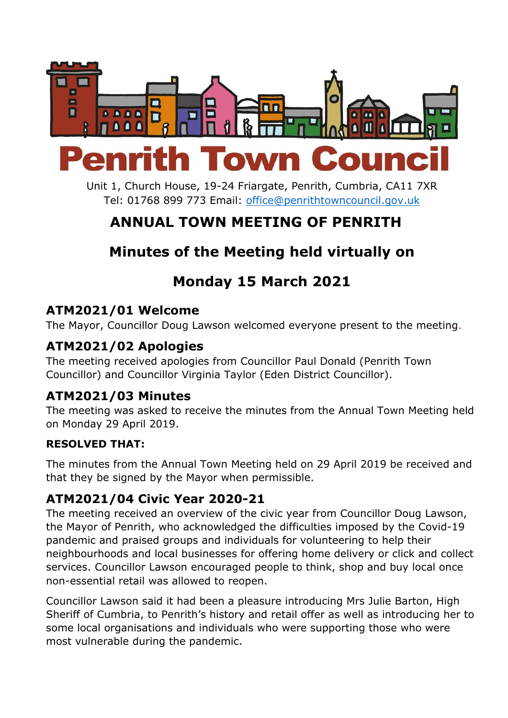

Unit 1, Church House, 19-24 Friargate, Penrith, Cumbria, CA11 7XR Tel: 01768 899 773 Email: [office@penrithtowncouncil.gov.uk](mailto:office@penrithtowncouncil.gov.uk)

# **ANNUAL TOWN MEETING OF PENRITH**

# **Minutes of the Meeting held virtually on**

# **Monday 15 March 2021**

#### **ATM2021/01 Welcome**

The Mayor, Councillor Doug Lawson welcomed everyone present to the meeting.

#### **ATM2021/02 Apologies**

The meeting received apologies from Councillor Paul Donald (Penrith Town Councillor) and Councillor Virginia Taylor (Eden District Councillor).

### **ATM2021/03 Minutes**

The meeting was asked to receive the minutes from the Annual Town Meeting held on Monday 29 April 2019.

#### **RESOLVED THAT:**

The minutes from the Annual Town Meeting held on 29 April 2019 be received and that they be signed by the Mayor when permissible.

### **ATM2021/04 Civic Year 2020-21**

The meeting received an overview of the civic year from Councillor Doug Lawson, the Mayor of Penrith, who acknowledged the difficulties imposed by the Covid-19 pandemic and praised groups and individuals for volunteering to help their neighbourhoods and local businesses for offering home delivery or click and collect services. Councillor Lawson encouraged people to think, shop and buy local once non-essential retail was allowed to reopen.

Councillor Lawson said it had been a pleasure introducing Mrs Julie Barton, High Sheriff of Cumbria, to Penrith's history and retail offer as well as introducing her to some local organisations and individuals who were supporting those who were most vulnerable during the pandemic.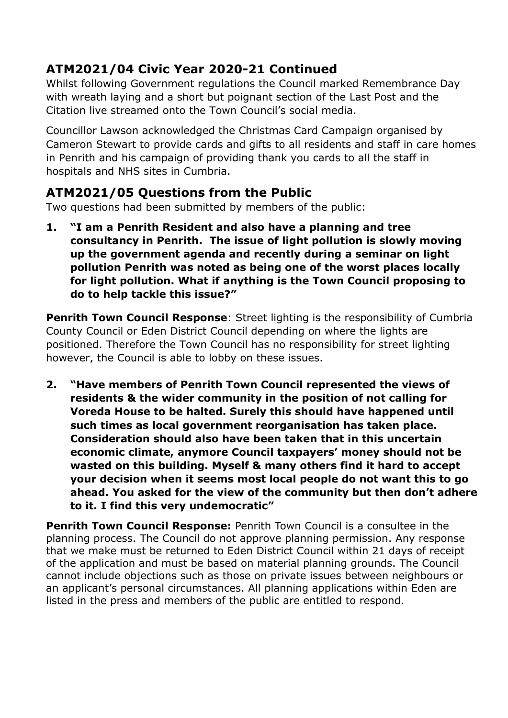# **ATM2021/04 Civic Year 2020-21 Continued**

Whilst following Government regulations the Council marked Remembrance Day with wreath laying and a short but poignant section of the Last Post and the Citation live streamed onto the Town Council's social media.

Councillor Lawson acknowledged the Christmas Card Campaign organised by Cameron Stewart to provide cards and gifts to all residents and staff in care homes in Penrith and his campaign of providing thank you cards to all the staff in hospitals and NHS sites in Cumbria.

## **ATM2021/05 Questions from the Public**

Two questions had been submitted by members of the public:

**1. "I am a Penrith Resident and also have a planning and tree consultancy in Penrith. The issue of light pollution is slowly moving up the government agenda and recently during a seminar on light pollution Penrith was noted as being one of the worst places locally for light pollution. What if anything is the Town Council proposing to do to help tackle this issue?"**

**Penrith Town Council Response:** Street lighting is the responsibility of Cumbria County Council or Eden District Council depending on where the lights are positioned. Therefore the Town Council has no responsibility for street lighting however, the Council is able to lobby on these issues.

**2. "Have members of Penrith Town Council represented the views of residents & the wider community in the position of not calling for Voreda House to be halted. Surely this should have happened until such times as local government reorganisation has taken place. Consideration should also have been taken that in this uncertain economic climate, anymore Council taxpayers' money should not be wasted on this building. Myself & many others find it hard to accept your decision when it seems most local people do not want this to go ahead. You asked for the view of the community but then don't adhere to it. I find this very undemocratic"**

**Penrith Town Council Response:** Penrith Town Council is a consultee in the planning process. The Council do not approve planning permission. Any response that we make must be returned to Eden District Council within 21 days of receipt of the application and must be based on material planning grounds. The Council cannot include objections such as those on private issues between neighbours or an applicant's personal circumstances. All planning applications within Eden are listed in the press and members of the public are entitled to respond.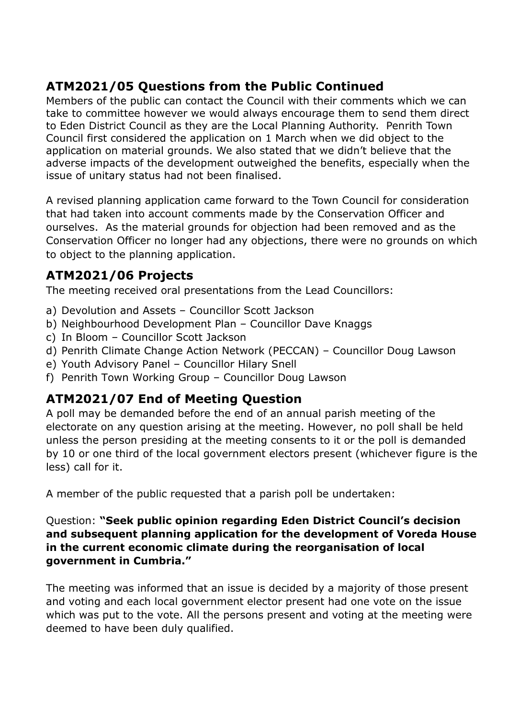# **ATM2021/05 Questions from the Public Continued**

Members of the public can contact the Council with their comments which we can take to committee however we would always encourage them to send them direct to Eden District Council as they are the Local Planning Authority. Penrith Town Council first considered the application on 1 March when we did object to the application on material grounds. We also stated that we didn't believe that the adverse impacts of the development outweighed the benefits, especially when the issue of unitary status had not been finalised.

A revised planning application came forward to the Town Council for consideration that had taken into account comments made by the Conservation Officer and ourselves. As the material grounds for objection had been removed and as the Conservation Officer no longer had any objections, there were no grounds on which to object to the planning application.

# **ATM2021/06 Projects**

The meeting received oral presentations from the Lead Councillors:

- a) Devolution and Assets Councillor Scott Jackson
- b) Neighbourhood Development Plan Councillor Dave Knaggs
- c) In Bloom Councillor Scott Jackson
- d) Penrith Climate Change Action Network (PECCAN) Councillor Doug Lawson
- e) Youth Advisory Panel Councillor Hilary Snell
- f) Penrith Town Working Group Councillor Doug Lawson

### **ATM2021/07 End of Meeting Question**

A poll may be demanded before the end of an annual parish meeting of the electorate on any question arising at the meeting. However, no poll shall be held unless the person presiding at the meeting consents to it or the poll is demanded by 10 or one third of the local government electors present (whichever figure is the less) call for it.

A member of the public requested that a parish poll be undertaken:

Question: **"Seek public opinion regarding Eden District Council's decision and subsequent planning application for the development of Voreda House in the current economic climate during the reorganisation of local government in Cumbria."**

The meeting was informed that an issue is decided by a majority of those present and voting and each local government elector present had one vote on the issue which was put to the vote. All the persons present and voting at the meeting were deemed to have been duly qualified.